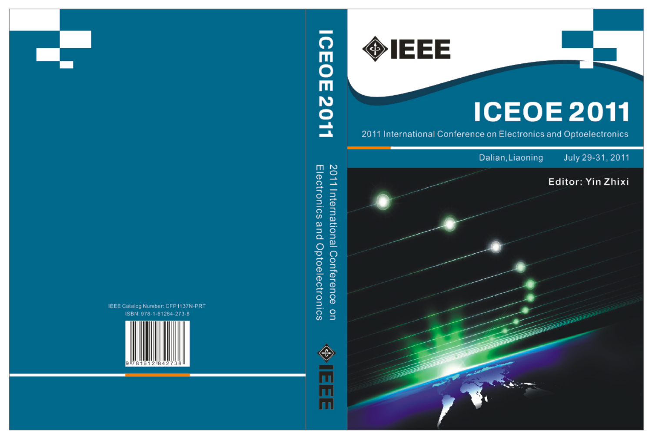**OBJEET** 

2011 International Conference on<br>Electronics and Optoelectronics

 $\overline{\phantom{a}}$ 

**CEOE2011** 



IEEE Catalog Number: CFP1137N-PRT ISBN: 978-1-61284-273-8



# **ICEOE 2011**

2011 International Conference on Electronics and Optoelectronics

## Dalian, Liaoning

## July 29-31, 2011

## Editor: Yin Zhixi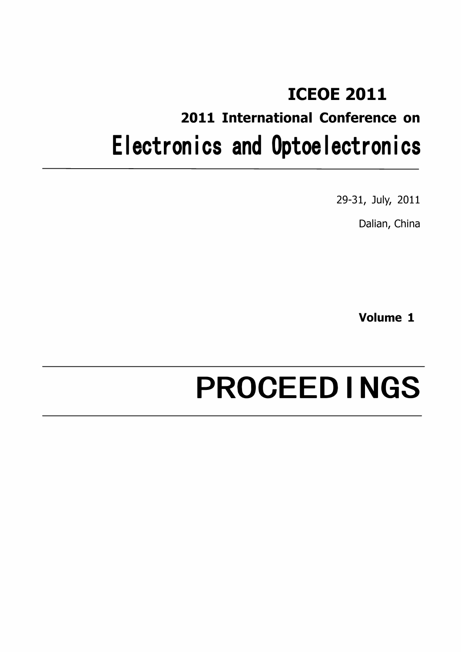## ICEOE 2011 2011 International Conference on Electronics and Optoelectronics

29-31, July, 2011

Dalian, China

Volume 1

## PROCEEDINGS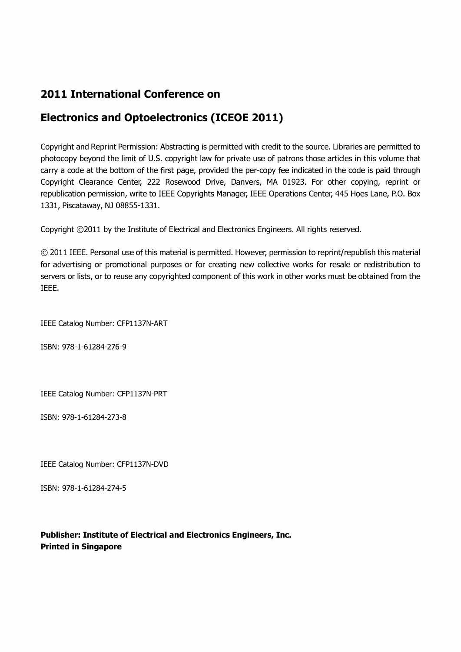### 2011 International Conference on

## Electronics and Optoelectronics (ICEOE 2011)

Copyright and Reprint Permission: Abstracting is permitted with credit to the source. Libraries are permitted to photocopy beyond the limit of U.S. copyright law for private use of patrons those articles in this volume that carry a code at the bottom of the first page, provided the per-copy fee indicated in the code is paid through Copyright Clearance Center, 222 Rosewood Drive, Danvers, MA 01923. For other copying, reprint or republication permission, write to IEEE Copyrights Manager, IEEE Operations Center, 445 Hoes Lane, P.O. Box 1331, Piscataway, NJ 08855-1331.

Copyright ©2011 by the Institute of Electrical and Electronics Engineers. All rights reserved.

© 2011 IEEE. Personal use of this material is permitted. However, permission to reprint/republish this material for advertising or promotional purposes or for creating new collective works for resale or redistribution to servers or lists, or to reuse any copyrighted component of this work in other works must be obtained from the IEEE.

IEEE Catalog Number: CFP1137N-ART

ISBN: 978-1-61284-276-9

IEEE Catalog Number: CFP1137N-PRT

ISBN: 978-1-61284-273-8

IEEE Catalog Number: CFP1137N-DVD

ISBN: 978-1-61284-274-5

Publisher: Institute of Electrical and Electronics Engineers, Inc. Printed in Singapore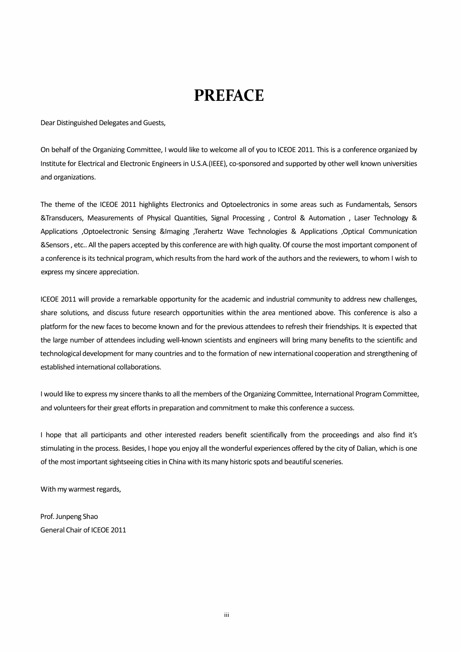## **PREFACE**

Dear Distinguished Delegates and Guests,

On behalf of the Organizing Committee, I would like to welcome all of you to ICEOE 2011. This is a conference organized by Institute for Electrical and Electronic Engineers in U.5.A.(IEEEl, co-sponsored and supported by other well known universities and organizations.

The theme of the ICEOE 2011 highlights Electronics and Optoelectronics in some areas such as Fundamentals, Sensors &Transducers, Measurements of Physical Quantities, Signal Processing , Control & Automation , Laser Technology & Applications ,Optoelectronic Sensing &Imaging ,Terahertz Wave Technologies & Applications ,Optical Communication &Sensors, etc.. All the papers accepted by this conference are with high quality. Of course the most important component of a conference is its technical program, which results from the hard work of the authors and the reviewers, to whom I wish to express my sincere appreciation.

ICEOE 2011 will provide a remarkable opportunity for the academic and industrial community to address new challenges, share solutions, and discuss future research opportunities within the area mentioned above. This conference is also a platform for the new faces to become known and for the previous attendees to refresh their friendships. It is expected that the large number of attendees including well-known scientists and engineers will bring many benefits to the scientific and technological development for many countries and to the formation of new international cooperation and strengthening of established international collaborations.

I would like to express my sincere thanks to all the members of the Organizing Committee, International Program Committee, and volunteers for their great efforts in preparation and commitment to make this conference a success.

I hope that all participants and other interested readers benefit scientifically from the proceedings and also find it's stimulating in the process. Besides, I hope you enjoy all the wonderful experiences offered by the city of Dalian, which is one of the most important sightseeing cities in China with its many historic spots and beautiful sceneries.

With my warmest regards,

Prof. Junpeng Shao General Chair of ICEOE 2011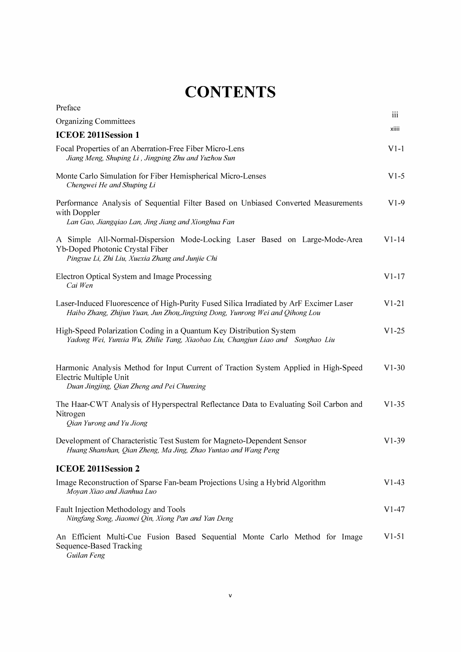## **CONTENTS**

| Preface                                                                                                                                                                 | iii     |
|-------------------------------------------------------------------------------------------------------------------------------------------------------------------------|---------|
| <b>Organizing Committees</b>                                                                                                                                            |         |
| <b>ICEOE 2011Session 1</b>                                                                                                                                              | xiiii   |
| Focal Properties of an Aberration-Free Fiber Micro-Lens<br>Jiang Meng, Shuping Li, Jingping Zhu and Yuzhou Sun                                                          | $V1-1$  |
| Monte Carlo Simulation for Fiber Hemispherical Micro-Lenses<br>Chengwei He and Shuping Li                                                                               | $V1-5$  |
| Performance Analysis of Sequential Filter Based on Unbiased Converted Measurements<br>with Doppler<br>Lan Gao, Jiangqiao Lan, Jing Jiang and Xionghua Fan               | $V1-9$  |
| A Simple All-Normal-Dispersion Mode-Locking Laser Based on Large-Mode-Area<br>Yb-Doped Photonic Crystal Fiber<br>Pingxue Li, Zhi Liu, Xuexia Zhang and Junjie Chi       | $V1-14$ |
| Electron Optical System and Image Processing<br>Cai Wen                                                                                                                 | $V1-17$ |
| Laser-Induced Fluorescence of High-Purity Fused Silica Irradiated by ArF Excimer Laser<br>Haibo Zhang, Zhijun Yuan, Jun Zhou, Jingxing Dong, Yunrong Wei and Qihong Lou | $V1-21$ |
| High-Speed Polarization Coding in a Quantum Key Distribution System<br>Yadong Wei, Yunxia Wu, Zhilie Tang, Xiaobao Liu, Changjun Liao and Songhao Liu                   | $V1-25$ |
| Harmonic Analysis Method for Input Current of Traction System Applied in High-Speed<br>Electric Multiple Unit<br>Duan Jingjing, Qian Zheng and Pei Chunxing             | $V1-30$ |
| The Haar-CWT Analysis of Hyperspectral Reflectance Data to Evaluating Soil Carbon and<br>Nitrogen<br>Qian Yurong and Yu Jiong                                           | $V1-35$ |
| Development of Characteristic Test Sustem for Magneto-Dependent Sensor<br>Huang Shanshan, Qian Zheng, Ma Jing, Zhao Yuntao and Wang Peng                                | $V1-39$ |
| ICEOE 2011Session 2                                                                                                                                                     |         |
| Image Reconstruction of Sparse Fan-beam Projections Using a Hybrid Algorithm<br>Moyan Xiao and Jianhua Luo                                                              | $V1-43$ |
| Fault Injection Methodology and Tools<br>Ningfang Song, Jiaomei Qin, Xiong Pan and Yan Deng                                                                             | V1-47   |
| An Efficient Multi-Cue Fusion Based Sequential Monte Carlo Method for Image<br>Sequence-Based Tracking<br>Guilan Feng                                                   | $V1-51$ |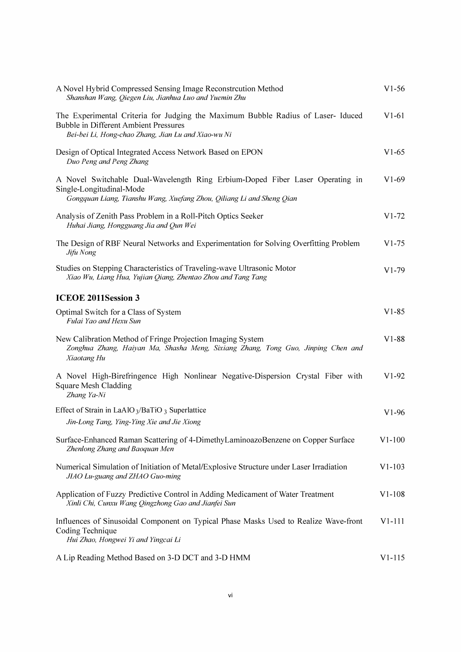| A Novel Hybrid Compressed Sensing Image Reconstruction Method<br>Shanshan Wang, Qiegen Liu, Jianhua Luo and Yuemin Zhu                                                                 | $V1-56$    |
|----------------------------------------------------------------------------------------------------------------------------------------------------------------------------------------|------------|
| The Experimental Criteria for Judging the Maximum Bubble Radius of Laser-Iduced<br><b>Bubble in Different Ambient Pressures</b><br>Bei-bei Li, Hong-chao Zhang, Jian Lu and Xiao-wu Ni | $V1-61$    |
| Design of Optical Integrated Access Network Based on EPON<br>Duo Peng and Peng Zhang                                                                                                   | $V1-65$    |
| A Novel Switchable Dual-Wavelength Ring Erbium-Doped Fiber Laser Operating in<br>Single-Longitudinal-Mode<br>Gongquan Liang, Tianshu Wang, Xuefang Zhou, Qiliang Li and Sheng Qian     | $V1-69$    |
| Analysis of Zenith Pass Problem in a Roll-Pitch Optics Seeker<br>Huhai Jiang, Hongguang Jia and Qun Wei                                                                                | $V1-72$    |
| The Design of RBF Neural Networks and Experimentation for Solving Overfitting Problem<br>Jifu Nong                                                                                     | $V1-75$    |
| Studies on Stepping Characteristics of Traveling-wave Ultrasonic Motor<br>Xiao Wu, Liang Hua, Yujian Qiang, Zhentao Zhou and Tang Tang                                                 | $V1-79$    |
| <b>ICEOE 2011Session 3</b>                                                                                                                                                             |            |
| Optimal Switch for a Class of System<br>Fulai Yao and Hexu Sun                                                                                                                         | $V1-85$    |
| New Calibration Method of Fringe Projection Imaging System<br>Zonghua Zhang, Haiyan Ma, Shasha Meng, Sixiang Zhang, Tong Guo, Jinping Chen and<br>Xiaotang Hu                          | $V1-88$    |
| A Novel High-Birefringence High Nonlinear Negative-Dispersion Crystal Fiber with<br><b>Square Mesh Cladding</b><br>Zhang Ya-Ni                                                         | $V1-92$    |
| Effect of Strain in LaAlO <sub>3</sub> /BaTiO <sub>3</sub> Superlattice<br>Jin-Long Tang, Ying-Ying Xie and Jie Xiong                                                                  | $V1-96$    |
| Surface-Enhanced Raman Scattering of 4-DimethyLaminoazoBenzene on Copper Surface<br>Zhenlong Zhang and Baoquan Men                                                                     | $V1 - 100$ |
| Numerical Simulation of Initiation of Metal/Explosive Structure under Laser Irradiation<br>JIAO Lu-guang and ZHAO Guo-ming                                                             | $V1 - 103$ |
| Application of Fuzzy Predictive Control in Adding Medicament of Water Treatment<br>Xinli Chi, Cunxu Wang Qingzhong Gao and Jianfei Sun                                                 | $V1-108$   |
| Influences of Sinusoidal Component on Typical Phase Masks Used to Realize Wave-front<br>Coding Technique<br>Hui Zhao, Hongwei Yi and Yingcai Li                                        | $V1-111$   |
| A Lip Reading Method Based on 3-D DCT and 3-D HMM                                                                                                                                      | $V1 - 115$ |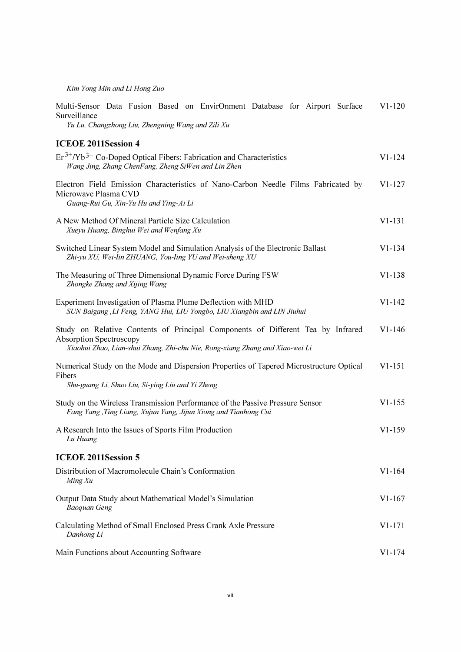Kim Yong Min and Li Hong Zuo

| Multi-Sensor Data Fusion Based on EnvirOnment Database for Airport Surface<br>Surveillance<br>Yu Lu, Changzhong Liu, Zhengning Wang and Zili Xu                                                   | $V1-120$   |
|---------------------------------------------------------------------------------------------------------------------------------------------------------------------------------------------------|------------|
| <b>ICEOE 2011Session 4</b>                                                                                                                                                                        |            |
| $Er^{3+}/Yb^{3+}$ Co-Doped Optical Fibers: Fabrication and Characteristics<br>Wang Jing, Zhang ChenFang, Zheng SiWen and Lin Zhen                                                                 | $V1 - 124$ |
| Electron Field Emission Characteristics of Nano-Carbon Needle Films Fabricated by<br>Microwave Plasma CVD<br>Guang-Rui Gu, Xin-Yu Hu and Ying-Ai Li                                               | $V1-127$   |
| A New Method Of Mineral Particle Size Calculation<br>Xueyu Huang, Binghui Wei and Wenfang Xu                                                                                                      | $V1-131$   |
| Switched Linear System Model and Simulation Analysis of the Electronic Ballast<br>Zhi-yu XU, Wei-lin ZHUANG, You-ling YU and Wei-sheng XU                                                         | $V1 - 134$ |
| The Measuring of Three Dimensional Dynamic Force During FSW<br>Zhongke Zhang and Xijing Wang                                                                                                      | $V1-138$   |
| Experiment Investigation of Plasma Plume Deflection with MHD<br>SUN Baigang , LI Feng, YANG Hui, LIU Yongbo, LIU Xiangbin and LIN Jiuhui                                                          | $V1 - 142$ |
| Study on Relative Contents of Principal Components of Different Tea by Infrared<br><b>Absorption Spectroscopy</b><br>Xiaohui Zhao, Lian-shui Zhang, Zhi-chu Nie, Rong-xiang Zhang and Xiao-wei Li | $V1 - 146$ |
| Numerical Study on the Mode and Dispersion Properties of Tapered Microstructure Optical<br>Fibers<br>Shu-guang Li, Shuo Liu, Si-ying Liu and Yi Zheng                                             | $V1 - 151$ |
| Study on the Wireless Transmission Performance of the Passive Pressure Sensor<br>Fang Yang, Ting Liang, Xujun Yang, Jijun Xiong and Tianhong Cui                                                  | $V1 - 155$ |
| A Research Into the Issues of Sports Film Production<br>Lu Huang                                                                                                                                  | $V1-159$   |
| <b>ICEOE 2011Session 5</b>                                                                                                                                                                        |            |
| Distribution of Macromolecule Chain's Conformation<br>Ming Xu                                                                                                                                     | $V1 - 164$ |
| Output Data Study about Mathematical Model's Simulation<br><b>Baoquan Geng</b>                                                                                                                    | $V1-167$   |
| Calculating Method of Small Enclosed Press Crank Axle Pressure<br>Danhong Li                                                                                                                      | $V1-171$   |
| Main Functions about Accounting Software                                                                                                                                                          | $V1-174$   |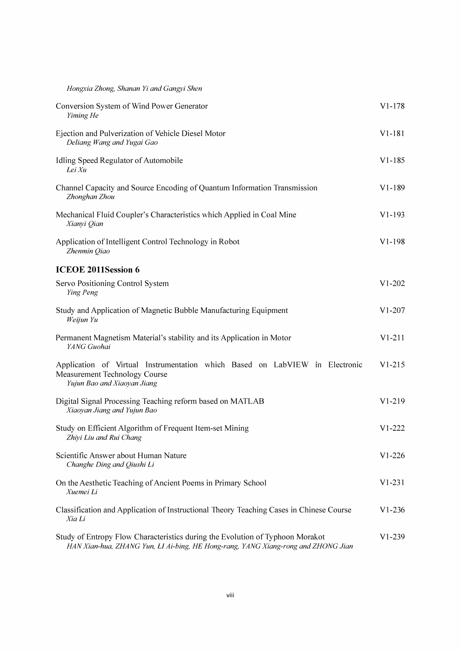#### Hongxia Zhong, Shanan Yi and Gangyi Shen

| Conversion System of Wind Power Generator<br>Yiming He                                                                                                             | $V1-178$   |
|--------------------------------------------------------------------------------------------------------------------------------------------------------------------|------------|
| Ejection and Pulverization of Vehicle Diesel Motor<br>Deliang Wang and Yugai Gao                                                                                   | $V1-181$   |
| Idling Speed Regulator of Automobile<br>Lei Xu                                                                                                                     | $V1 - 185$ |
| Channel Capacity and Source Encoding of Quantum Information Transmission<br>Zhonghan Zhou                                                                          | $V1-189$   |
| Mechanical Fluid Coupler's Characteristics which Applied in Coal Mine<br>Xianyi Qian                                                                               | $V1-193$   |
| Application of Intelligent Control Technology in Robot<br>Zhenmin Qiao                                                                                             | $V1 - 198$ |
| <b>ICEOE 2011Session 6</b>                                                                                                                                         |            |
| Servo Positioning Control System<br>Ying Peng                                                                                                                      | $V1-202$   |
| Study and Application of Magnetic Bubble Manufacturing Equipment<br>Weijun Yu                                                                                      | $V1-207$   |
| Permanent Magnetism Material's stability and its Application in Motor<br>YANG Guohai                                                                               | $V1-211$   |
| Application of Virtual Instrumentation which Based on LabVIEW in Electronic<br><b>Measurement Technology Course</b><br>Yujun Bao and Xiaoyan Jiang                 | $V1-215$   |
| Digital Signal Processing Teaching reform based on MATLAB<br>Xiaoyan Jiang and Yujun Bao                                                                           | $V1-219$   |
| Study on Efficient Algorithm of Frequent Item-set Mining<br>Zhiyi Liu and Rui Chang                                                                                | $V1-222$   |
| Scientific Answer about Human Nature<br>Changhe Ding and Qiushi Li                                                                                                 | $V1-226$   |
| On the Aesthetic Teaching of Ancient Poems in Primary School<br>Xuemei Li                                                                                          | $V1-231$   |
| Classification and Application of Instructional Theory Teaching Cases in Chinese Course<br>Xia Li                                                                  | $V1-236$   |
| Study of Entropy Flow Characteristics during the Evolution of Typhoon Morakot<br>HAN Xian-hua, ZHANG Yun, LI Ai-bing, HE Hong-rang, YANG Xiang-rong and ZHONG Jian | $V1-239$   |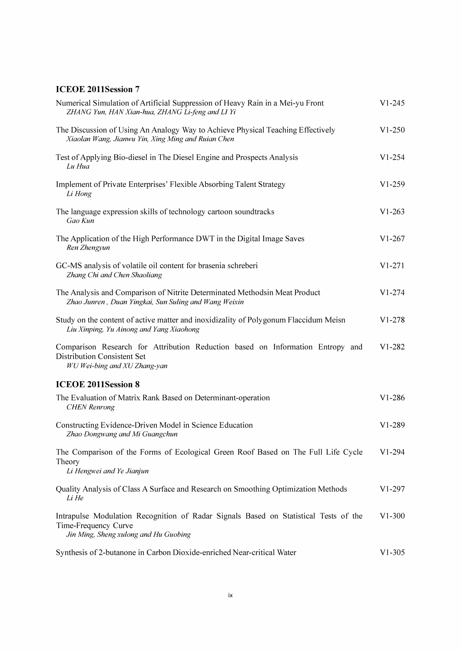#### ICEOE 2011Session 7

| Numerical Simulation of Artificial Suppression of Heavy Rain in a Mei-yu Front<br>ZHANG Yun, HAN Xian-hua, ZHANG Li-feng and LI Yi                    | $V1 - 245$ |
|-------------------------------------------------------------------------------------------------------------------------------------------------------|------------|
| The Discussion of Using An Analogy Way to Achieve Physical Teaching Effectively<br>Xiaolan Wang, Jianwu Yin, Xing Ming and Ruian Chen                 | $V1-250$   |
| Test of Applying Bio-diesel in The Diesel Engine and Prospects Analysis<br>Lu Hua                                                                     | $V1 - 254$ |
| Implement of Private Enterprises' Flexible Absorbing Talent Strategy<br>Li Hong                                                                       | $V1-259$   |
| The language expression skills of technology cartoon soundtracks<br>Gao Kun                                                                           | $V1 - 263$ |
| The Application of the High Performance DWT in the Digital Image Saves<br>Ren Zhengyun                                                                | $V1-267$   |
| GC-MS analysis of volatile oil content for brasenia schreberi<br>Zhang Chi and Chen Shaoliang                                                         | $V1-271$   |
| The Analysis and Comparison of Nitrite Determinated Methodsin Meat Product<br>Zhao Junren, Duan Yingkai, Sun Suling and Wang Weixin                   | $V1 - 274$ |
| Study on the content of active matter and inoxidizality of Polygonum Flaccidum Meisn<br>Liu Xinping, Yu Ainong and Yang Xiaohong                      | $V1-278$   |
| Comparison Research for Attribution Reduction based on Information Entropy and<br>Distribution Consistent Set<br>WU Wei-bing and XU Zhang-yan         | $V1 - 282$ |
| <b>ICEOE 2011Session 8</b>                                                                                                                            |            |
| The Evaluation of Matrix Rank Based on Determinant-operation<br><b>CHEN</b> Renrong                                                                   | $V1-286$   |
| Constructing Evidence-Driven Model in Science Education<br>Zhao Dongwang and Mi Guangchun                                                             | $V1 - 289$ |
| The Comparison of the Forms of Ecological Green Roof Based on The Full Life Cycle<br>Theory<br>Li Hengwei and Ye Jianjun                              | $V1 - 294$ |
| Quality Analysis of Class A Surface and Research on Smoothing Optimization Methods<br>Li He                                                           | $V1-297$   |
| Intrapulse Modulation Recognition of Radar Signals Based on Statistical Tests of the<br>Time-Frequency Curve<br>Jin Ming, Sheng xulong and Hu Guobing | $V1-300$   |
| Synthesis of 2-butanone in Carbon Dioxide-enriched Near-critical Water                                                                                | $V1 - 305$ |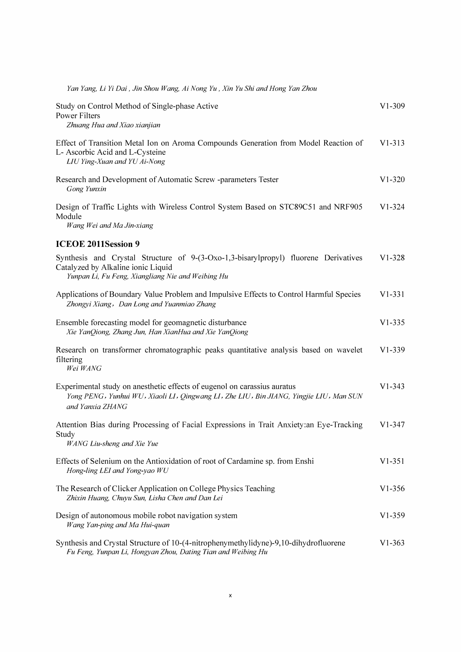| Yan Yang, Li Yi Dai , Jin Shou Wang, Ai Nong Yu , Xin Yu Shi and Hong Yan Zhou                                                                                                         |            |
|----------------------------------------------------------------------------------------------------------------------------------------------------------------------------------------|------------|
| Study on Control Method of Single-phase Active<br><b>Power Filters</b><br>Zhuang Hua and Xiao xianjian                                                                                 | $V1-309$   |
| Effect of Transition Metal Ion on Aroma Compounds Generation from Model Reaction of<br>L- Ascorbic Acid and L-Cysteine<br>LIU Ying-Xuan and YU Ai-Nong                                 | $V1 - 313$ |
| Research and Development of Automatic Screw -parameters Tester<br>Gong Yunxin                                                                                                          | $V1-320$   |
| Design of Traffic Lights with Wireless Control System Based on STC89C51 and NRF905<br>Module<br>Wang Wei and Ma Jin-xiang                                                              | $V1 - 324$ |
| <b>ICEOE 2011Session 9</b>                                                                                                                                                             |            |
| Synthesis and Crystal Structure of 9-(3-Oxo-1,3-bisarylpropyl) fluorene Derivatives<br>Catalyzed by Alkaline ionic Liquid<br>Yunpan Li, Fu Feng, Xiangliang Nie and Weibing Hu         | $V1 - 328$ |
| Applications of Boundary Value Problem and Impulsive Effects to Control Harmful Species<br>Zhongyi Xiang, Dan Long and Yuanmiao Zhang                                                  | $V1 - 331$ |
| Ensemble forecasting model for geomagnetic disturbance<br>Xie YanQiong, Zhang Jun, Han XianHua and Xie YanQiong                                                                        | $V1 - 335$ |
| Research on transformer chromatographic peaks quantitative analysis based on wavelet<br>filtering<br>Wei WANG                                                                          | $V1-339$   |
| Experimental study on anesthetic effects of eugenol on carassius auratus<br>Yong PENG, Yunhui WU, Xiaoli LI, Qingwang LI, Zhe LIU, Bin JIANG, Yingjie LIU, Man SUN<br>and Yanxia ZHANG | $V1 - 343$ |
| Attention Bias during Processing of Facial Expressions in Trait Anxiety: an Eye-Tracking<br>Study<br><b>WANG Liu-sheng and Xie Yue</b>                                                 | $V1 - 347$ |
| Effects of Selenium on the Antioxidation of root of Cardamine sp. from Enshi<br>Hong-ling LEI and Yong-yao WU                                                                          | $V1 - 351$ |
| The Research of Clicker Application on College Physics Teaching<br>Zhixin Huang, Chuyu Sun, Lisha Chen and Dan Lei                                                                     | $V1 - 356$ |
| Design of autonomous mobile robot navigation system<br>Wang Yan-ping and Ma Hui-quan                                                                                                   | $V1-359$   |
| Synthesis and Crystal Structure of 10-(4-nitrophenymethylidyne)-9,10-dihydrofluorene<br>Fu Feng, Yunpan Li, Hongyan Zhou, Dating Tian and Weibing Hu                                   | $V1 - 363$ |
|                                                                                                                                                                                        |            |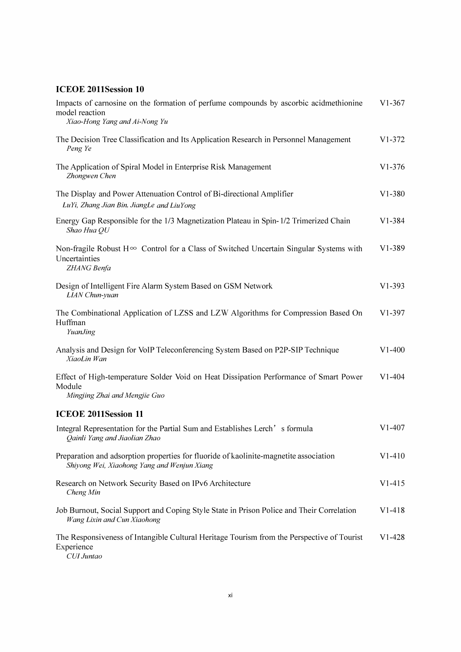#### ICEOE 2011Session 10

| Impacts of carnosine on the formation of perfume compounds by ascorbic acidmethionine<br>model reaction<br>Xiao-Hong Yang and Ai-Nong Yu | $V1-367$   |
|------------------------------------------------------------------------------------------------------------------------------------------|------------|
| The Decision Tree Classification and Its Application Research in Personnel Management<br>Peng Ye                                         | $V1 - 372$ |
| The Application of Spiral Model in Enterprise Risk Management<br>Zhongwen Chen                                                           | $V1 - 376$ |
| The Display and Power Attenuation Control of Bi-directional Amplifier<br>LuYi, Zhang Jian Bin, JiangLe and LiuYong                       | $V1-380$   |
| Energy Gap Responsible for the 1/3 Magnetization Plateau in Spin-1/2 Trimerized Chain<br>Shao Hua QU                                     | $V1 - 384$ |
| Non-fragile Robust $H^{\infty}$ Control for a Class of Switched Uncertain Singular Systems with<br>Uncertainties<br>ZHANG Benfa          | $V1 - 389$ |
| Design of Intelligent Fire Alarm System Based on GSM Network<br><b>LIAN</b> Chun-yuan                                                    | $V1 - 393$ |
| The Combinational Application of LZSS and LZW Algorithms for Compression Based On<br>Huffman<br><b>YuanJing</b>                          | $V1-397$   |
| Analysis and Design for VoIP Teleconferencing System Based on P2P-SIP Technique<br>XiaoLin Wan                                           | $V1-400$   |
| Effect of High-temperature Solder Void on Heat Dissipation Performance of Smart Power<br>Module<br>Mingjing Zhai and Mengjie Guo         | $V1-404$   |
| <b>ICEOE 2011Session 11</b>                                                                                                              |            |
| Integral Representation for the Partial Sum and Establishes Lerch's formula<br>Qainli Yang and Jiaolian Zhao                             | $V1-407$   |
| Preparation and adsorption properties for fluoride of kaolinite-magnetite association<br>Shiyong Wei, Xiaohong Yang and Wenjun Xiang     | $V1-410$   |
| Research on Network Security Based on IPv6 Architecture<br>Cheng Min                                                                     | $V1 - 415$ |
| Job Burnout, Social Support and Coping Style State in Prison Police and Their Correlation<br>Wang Lixin and Cun Xiaohong                 | $V1 - 418$ |
| The Responsiveness of Intangible Cultural Heritage Tourism from the Perspective of Tourist<br>Experience<br>CUI Juntao                   | $V1-428$   |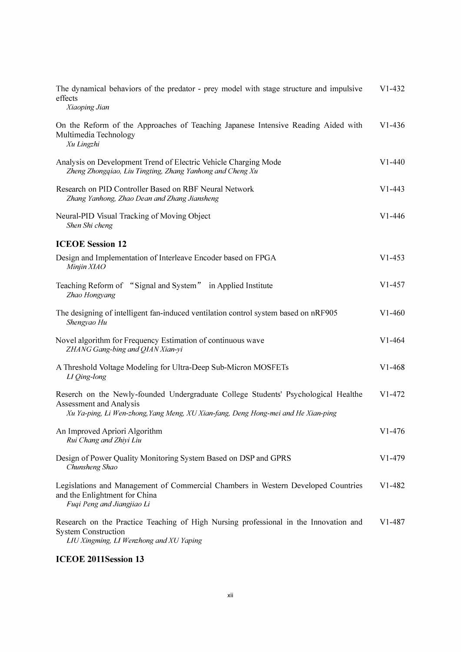| The dynamical behaviors of the predator - prey model with stage structure and impulsive<br>effects<br>Xiaoping Jian                                                                                | $V1-432$   |
|----------------------------------------------------------------------------------------------------------------------------------------------------------------------------------------------------|------------|
| On the Reform of the Approaches of Teaching Japanese Intensive Reading Aided with<br>Multimedia Technology<br>Xu Lingzhi                                                                           | $V1 - 436$ |
| Analysis on Development Trend of Electric Vehicle Charging Mode<br>Zheng Zhongqiao, Liu Tingting, Zhang Yanhong and Cheng Xu                                                                       | $V1 - 440$ |
| Research on PID Controller Based on RBF Neural Network<br>Zhang Yanhong, Zhao Dean and Zhang Jiansheng                                                                                             | $V1 - 443$ |
| Neural-PID Visual Tracking of Moving Object<br>Shen Shi cheng                                                                                                                                      | $V1 - 446$ |
| <b>ICEOE Session 12</b>                                                                                                                                                                            |            |
| Design and Implementation of Interleave Encoder based on FPGA<br>Minjin XIAO                                                                                                                       | $V1-453$   |
| Teaching Reform of "Signal and System" in Applied Institute<br>Zhao Hongyang                                                                                                                       | $V1-457$   |
| The designing of intelligent fan-induced ventilation control system based on nRF905<br>Shengyao Hu                                                                                                 | $V1-460$   |
| Novel algorithm for Frequency Estimation of continuous wave<br>ZHANG Gang-bing and QIAN Xian-yi                                                                                                    | $V1 - 464$ |
| A Threshold Voltage Modeling for Ultra-Deep Sub-Micron MOSFETs<br>LI Qing-long                                                                                                                     | $V1-468$   |
| Reserch on the Newly-founded Undergraduate College Students' Psychological Healthe<br>Assessment and Analysis<br>Xu Ya-ping, Li Wen-zhong, Yang Meng, XU Xian-fang, Deng Hong-mei and He Xian-ping | $V1 - 472$ |
| An Improved Apriori Algorithm<br>Rui Chang and Zhiyi Liu                                                                                                                                           | $V1 - 476$ |
| Design of Power Quality Monitoring System Based on DSP and GPRS<br>Chunsheng Shao                                                                                                                  | $V1 - 479$ |
| Legislations and Management of Commercial Chambers in Western Developed Countries<br>and the Enlightment for China<br>Fuqi Peng and Jiangjiao Li                                                   | $V1-482$   |
| Research on the Practice Teaching of High Nursing professional in the Innovation and<br><b>System Construction</b><br>LIU Xingming, LI Wenzhong and XU Yaping                                      | $V1-487$   |

#### ICEOE 2011Session 13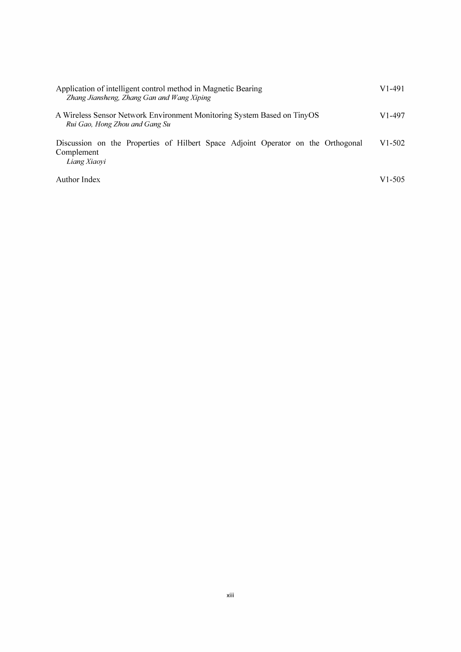| Application of intelligent control method in Magnetic Bearing<br>Zhang Jiansheng, Zhang Gan and Wang Xiping    | V1-491 |
|----------------------------------------------------------------------------------------------------------------|--------|
| A Wireless Sensor Network Environment Monitoring System Based on TinyOS<br>Rui Gao, Hong Zhou and Gang Su      | V1-497 |
| Discussion on the Properties of Hilbert Space Adjoint Operator on the Orthogonal<br>Complement<br>Liang Xiaovi | V1-502 |
| Author Index                                                                                                   | V1-505 |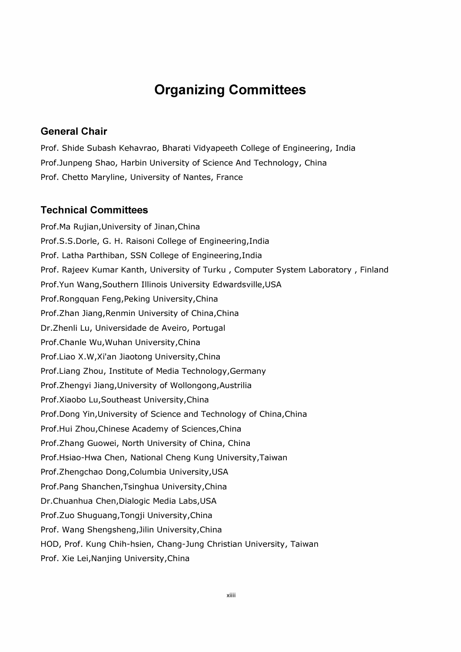## Organizing Committees

#### General Chair

Prof. Shide Subash Kehavrao, Bharati Vidyapeeth College of Engineering, India Prof.Junpeng Shao, Harbin University of Science And Technology, China Prof. Chetto Maryline, University of Nantes, France

#### Technical Committees

Prof.Ma Rujian,University of Jinan,China Prof.S.S.Dorle, G. H. Raisoni College of Engineering,India Prof. Latha Parthiban, SSN College of Engineering,India Prof. Rajeev Kumar Kanth, University of Turku , Computer System Laboratory , Finland Prof.Yun Wang,Southern Illinois University Edwardsville,USA Prof.Rongquan Feng, Peking University, China Prof.Zhan Jiang,Renmin University of China,China Dr.Zhenli Lu, Universidade de Aveiro, Portugal Prof.Chanle Wu, Wuhan University, China Prof.Liao X.W,Xi'an Jiaotong University,China Prof. Liang Zhou, Institute of Media Technology,Germany Prof.Zhengyi Jiang,University of Woliongong,Austrilia Prof.Xiaobo Lu, Southeast University, China Prof. Dong Yin,University of Science and Technology of China,China Prof.Hui Zhou,Chinese Academy of Sciences,China Prof.Zhang Guowei, North University of China, China Prof.Hsiao-Hwa Chen, National Cheng Kung University,Taiwan Prof.Zhengchao Dong, Columbia University, USA Prof. Pang Shanchen,Tsinghua University,China Dr.Chuanhua Chen,Dialogic Media Labs,USA Prof.Zuo Shuguang,Tongji University,China Prof. Wang Shengsheng, Jilin University, China HOD, Prof. Kung Chih-hsien, Chang-Jung Christian University, Taiwan Prof. Xie Lei, Nanjing University, China